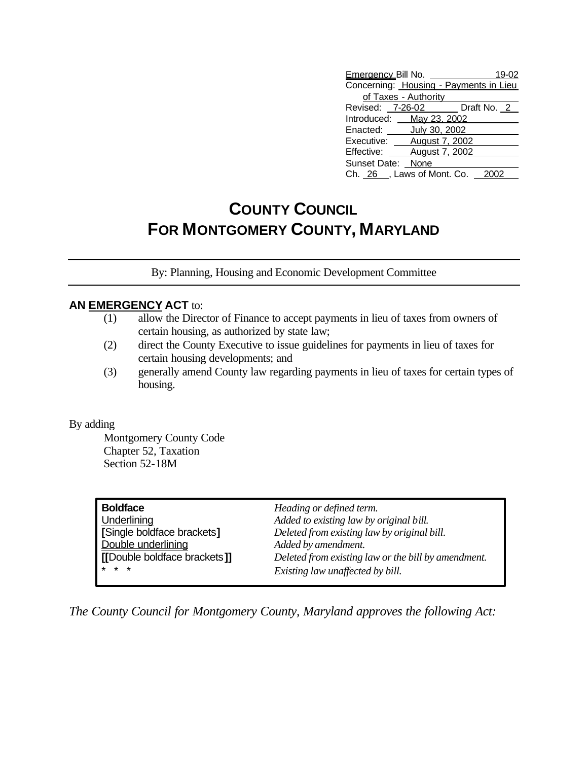| Emergency Bill No. __                  |                       |  | 19-02 |
|----------------------------------------|-----------------------|--|-------|
| Concerning: Housing - Payments in Lieu |                       |  |       |
| of Taxes - Authority                   |                       |  |       |
| Revised: 7-26-02 Draft No. 2           |                       |  |       |
| Introduced: May 23, 2002               |                       |  |       |
| Enacted: <b>July 30, 2002</b>          |                       |  |       |
| Executive: <b>August 7, 2002</b>       |                       |  |       |
| Effective:                             | <b>August 7, 2002</b> |  |       |
| Sunset Date: None                      |                       |  |       |
| Ch. 26, Laws of Mont. Co.              |                       |  |       |

## **COUNTY COUNCIL FOR MONTGOMERY COUNTY, MARYLAND**

By: Planning, Housing and Economic Development Committee

## **AN EMERGENCY ACT** to:

- (1) allow the Director of Finance to accept payments in lieu of taxes from owners of certain housing, as authorized by state law;
- (2) direct the County Executive to issue guidelines for payments in lieu of taxes for certain housing developments; and
- (3) generally amend County law regarding payments in lieu of taxes for certain types of housing.

## By adding

Montgomery County Code Chapter 52, Taxation Section 52-18M

| <b>Boldface</b>              | Heading or defined term.                            |
|------------------------------|-----------------------------------------------------|
| Underlining                  | Added to existing law by original bill.             |
| [Single boldface brackets]   | Deleted from existing law by original bill.         |
| Double underlining           | Added by amendment.                                 |
| [[Double boldface brackets]] | Deleted from existing law or the bill by amendment. |
| $* * *$                      | Existing law unaffected by bill.                    |

*The County Council for Montgomery County, Maryland approves the following Act:*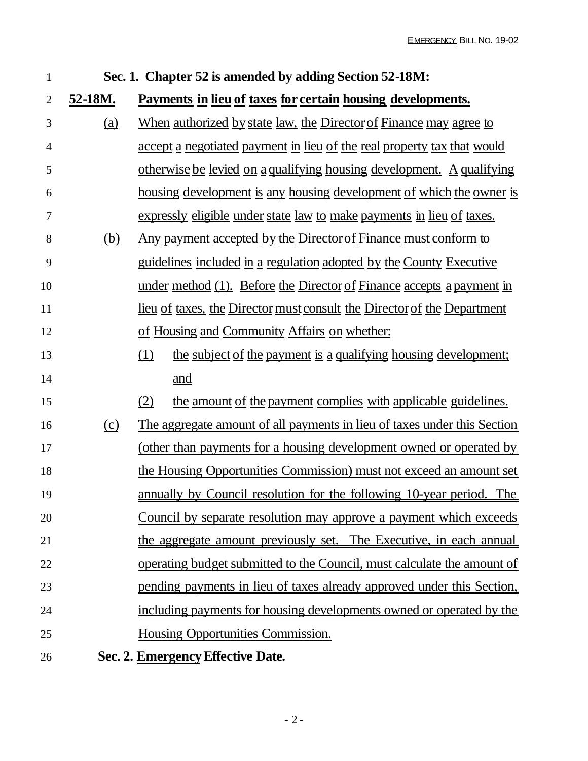| $\mathbf{1}$   | Sec. 1. Chapter 52 is amended by adding Section 52-18M: |                                                                                 |  |  |  |
|----------------|---------------------------------------------------------|---------------------------------------------------------------------------------|--|--|--|
| $\mathbf{2}$   | 52-18M.                                                 | Payments in lieu of taxes for certain housing developments.                     |  |  |  |
| $\mathfrak{Z}$ | <u>(a)</u>                                              | <u>When authorized by state law, the Director of Finance may agree to</u>       |  |  |  |
| $\overline{4}$ |                                                         | accept a negotiated payment in lieu of the real property tax that would         |  |  |  |
| 5              |                                                         | <u>otherwise be levied on a qualifying housing development. A qualifying</u>    |  |  |  |
| 6              |                                                         | <u>housing development is any housing development of which the owner is</u>     |  |  |  |
| $\tau$         |                                                         | expressly eligible under state law to make payments in lieu of taxes.           |  |  |  |
| 8              | <u>(b)</u>                                              | <u>Any payment accepted by the Director of Finance must conform to</u>          |  |  |  |
| 9              |                                                         | guidelines included in a regulation adopted by the County Executive             |  |  |  |
| 10             |                                                         | under method (1). Before the Director of Finance accepts a payment in           |  |  |  |
| 11             |                                                         | <u>lieu of taxes, the Director must consult the Director of the Department</u>  |  |  |  |
| 12             |                                                         | of Housing and Community Affairs on whether:                                    |  |  |  |
| 13             |                                                         | (1)<br>the subject of the payment is a qualifying housing development;          |  |  |  |
| 14             |                                                         | and                                                                             |  |  |  |
| 15             |                                                         | (2)<br>the amount of the payment complies with applicable guidelines.           |  |  |  |
| 16             | $\Omega$                                                | <u>The aggregate amount of all payments in lieu of taxes under this Section</u> |  |  |  |
| 17             |                                                         | <u>(other than payments for a housing development owned or operated by</u>      |  |  |  |
| 18             |                                                         | the Housing Opportunities Commission) must not exceed an amount set             |  |  |  |
| 19             |                                                         | annually by Council resolution for the following 10-year period. The            |  |  |  |
| 20             |                                                         | Council by separate resolution may approve a payment which exceeds              |  |  |  |
| 21             |                                                         | the aggregate amount previously set. The Executive, in each annual              |  |  |  |
| 22             |                                                         | <u>operating budget submitted to the Council, must calculate the amount of</u>  |  |  |  |
| 23             |                                                         | pending payments in lieu of taxes already approved under this Section.          |  |  |  |
| 24             |                                                         | including payments for housing developments owned or operated by the            |  |  |  |
| 25             |                                                         | Housing Opportunities Commission.                                               |  |  |  |
| 26             |                                                         | Sec. 2. <b>Emergency Effective Date.</b>                                        |  |  |  |